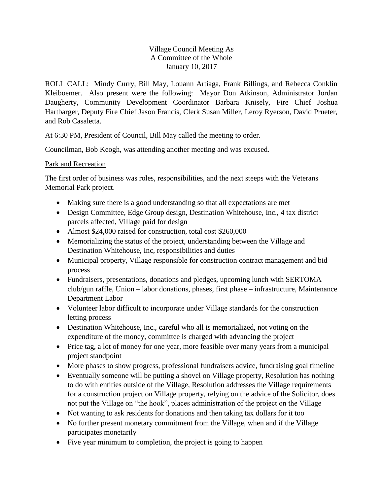## Village Council Meeting As A Committee of the Whole January 10, 2017

ROLL CALL: Mindy Curry, Bill May, Louann Artiaga, Frank Billings, and Rebecca Conklin Kleiboemer. Also present were the following: Mayor Don Atkinson, Administrator Jordan Daugherty, Community Development Coordinator Barbara Knisely, Fire Chief Joshua Hartbarger, Deputy Fire Chief Jason Francis, Clerk Susan Miller, Leroy Ryerson, David Prueter, and Rob Casaletta.

At 6:30 PM, President of Council, Bill May called the meeting to order.

Councilman, Bob Keogh, was attending another meeting and was excused.

## Park and Recreation

The first order of business was roles, responsibilities, and the next steeps with the Veterans Memorial Park project.

- Making sure there is a good understanding so that all expectations are met
- Design Committee, Edge Group design, Destination Whitehouse, Inc., 4 tax district parcels affected, Village paid for design
- Almost \$24,000 raised for construction, total cost \$260,000
- Memorializing the status of the project, understanding between the Village and Destination Whitehouse, Inc, responsibilities and duties
- Municipal property, Village responsible for construction contract management and bid process
- Fundraisers, presentations, donations and pledges, upcoming lunch with SERTOMA club/gun raffle, Union – labor donations, phases, first phase – infrastructure, Maintenance Department Labor
- Volunteer labor difficult to incorporate under Village standards for the construction letting process
- Destination Whitehouse, Inc., careful who all is memorialized, not voting on the expenditure of the money, committee is charged with advancing the project
- Price tag, a lot of money for one year, more feasible over many years from a municipal project standpoint
- More phases to show progress, professional fundraisers advice, fundraising goal timeline
- Eventually someone will be putting a shovel on Village property, Resolution has nothing to do with entities outside of the Village, Resolution addresses the Village requirements for a construction project on Village property, relying on the advice of the Solicitor, does not put the Village on "the hook", places administration of the project on the Village
- Not wanting to ask residents for donations and then taking tax dollars for it too
- No further present monetary commitment from the Village, when and if the Village participates monetarily
- Five year minimum to completion, the project is going to happen